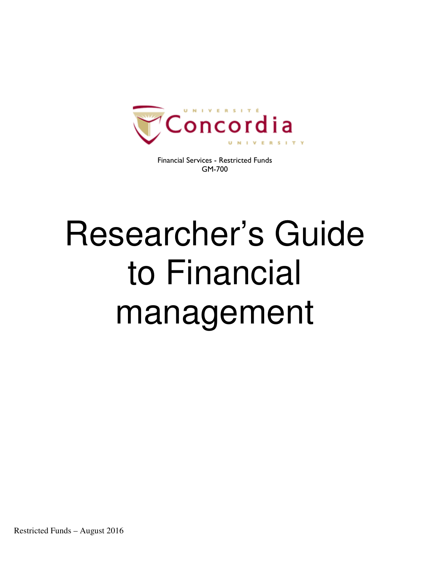

Financial Services - Restricted Funds GM-700

# Researcher's Guide to Financial management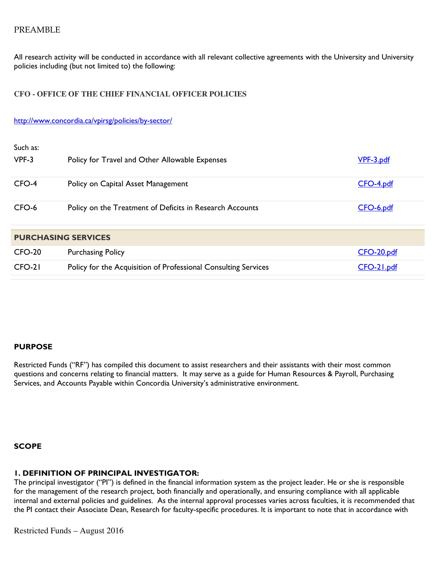# PREAMBLE

All research activity will be conducted in accordance with all relevant collective agreements with the University and University policies including (but not limited to) the following:

## **CFO - OFFICE OF THE CHIEF FINANCIAL OFFICER POLICIES**

#### http://www.concordia.ca/vpirsg/policies/by-sector/

| Such as:<br>$VPF-3$        | Policy for Travel and Other Allowable Expenses                 | VPF-3.pdf  |  |  |  |
|----------------------------|----------------------------------------------------------------|------------|--|--|--|
| CFO-4                      | Policy on Capital Asset Management                             | CFO-4.pdf  |  |  |  |
| CFO-6                      | Policy on the Treatment of Deficits in Research Accounts       | CFO-6.pdf  |  |  |  |
| <b>PURCHASING SERVICES</b> |                                                                |            |  |  |  |
| $CFO-20$                   | <b>Purchasing Policy</b>                                       | CFO-20.pdf |  |  |  |
| CFO-21                     | Policy for the Acquisition of Professional Consulting Services | CFO-21.pdf |  |  |  |

## PURPOSE

Restricted Funds ("RF") has compiled this document to assist researchers and their assistants with their most common questions and concerns relating to financial matters. It may serve as a guide for Human Resources & Payroll, Purchasing Services, and Accounts Payable within Concordia University's administrative environment.

**SCOPE** 

## 1. DEFINITION OF PRINCIPAL INVESTIGATOR:

The principal investigator ("PI") is defined in the financial information system as the project leader. He or she is responsible for the management of the research project, both financially and operationally, and ensuring compliance with all applicable internal and external policies and guidelines. As the internal approval processes varies across faculties, it is recommended that the PI contact their Associate Dean, Research for faculty-specific procedures. It is important to note that in accordance with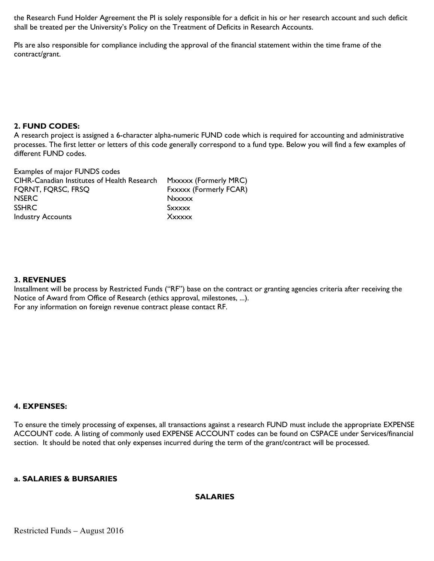the Research Fund Holder Agreement the PI is solely responsible for a deficit in his or her research account and such deficit shall be treated per the University's Policy on the Treatment of Deficits in Research Accounts.

PIs are also responsible for compliance including the approval of the financial statement within the time frame of the contract/grant.

## 2. FUND CODES:

A research project is assigned a 6-character alpha-numeric FUND code which is required for accounting and administrative processes. The first letter or letters of this code generally correspond to a fund type. Below you will find a few examples of different FUND codes.

Examples of major FUNDS codes CIHR-Canadian Institutes of Health Research Mxxxxx (Formerly MRC) FQRNT, FQRSC, FRSQ Fxxxxx (Formerly FCAR) NSERC Nxxxxx SSHRC SXXXXX Industry Accounts **Xxxxxx** 

## 3. REVENUES

Installment will be process by Restricted Funds ("RF") base on the contract or granting agencies criteria after receiving the Notice of Award from Office of Research (ethics approval, milestones, ...). For any information on foreign revenue contract please contact RF.

## 4. EXPENSES:

To ensure the timely processing of expenses, all transactions against a research FUND must include the appropriate EXPENSE ACCOUNT code. A listing of commonly used EXPENSE ACCOUNT codes can be found on CSPACE under Services/financial section. It should be noted that only expenses incurred during the term of the grant/contract will be processed.

## a. SALARIES & BURSARIES

## SALARIES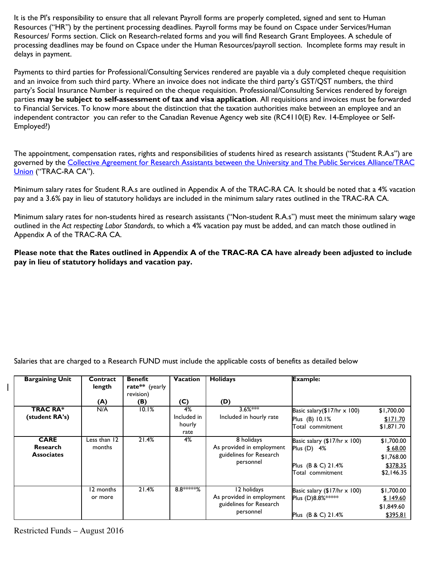It is the PI's responsibility to ensure that all relevant Payroll forms are properly completed, signed and sent to Human Resources ("HR") by the pertinent processing deadlines. Payroll forms may be found on Cspace under Services/Human Resources/ Forms section. Click on Research-related forms and you will find Research Grant Employees. A schedule of processing deadlines may be found on Cspace under the Human Resources/payroll section. Incomplete forms may result in delays in payment.

Payments to third parties for Professional/Consulting Services rendered are payable via a duly completed cheque requisition and an invoice from such third party. Where an invoice does not indicate the third party's GST/QST numbers, the third party's Social Insurance Number is required on the cheque requisition. Professional/Consulting Services rendered by foreign parties may be subject to self-assessment of tax and visa application. All requisitions and invoices must be forwarded to Financial Services. To know more about the distinction that the taxation authorities make between an employee and an independent contractor you can refer to the Canadian Revenue Agency web site (RC4110(E) Rev. 14-Employee or Self-Employed?)

The appointment, compensation rates, rights and responsibilities of students hired as research assistants ("Student R.A.s") are governed by the Collective Agreement for Research Assistants between the University and The Public Services Alliance/TRAC Union ("TRAC-RA CA").

Minimum salary rates for Student R.A.s are outlined in Appendix A of the TRAC-RA CA. It should be noted that a 4% vacation pay and a 3.6% pay in lieu of statutory holidays are included in the minimum salary rates outlined in the TRAC-RA CA.

Minimum salary rates for non-students hired as research assistants ("Non-student R.A.s") must meet the minimum salary wage outlined in the Act respecting Labor Standards, to which a 4% vacation pay must be added, and can match those outlined in Appendix A of the TRAC-RA CA.

Please note that the Rates outlined in Appendix A of the TRAC-RA CA have already been adjusted to include pay in lieu of statutory holidays and vacation pay.

Salaries that are charged to a Research FUND must include the applicable costs of benefits as detailed below

| <b>Bargaining Unit</b>                              | Contract<br>length<br>(A) | <b>Benefit</b><br>rate** (yearly<br>revision)<br>(B) | <b>Vacation</b><br>(C)              | <b>Holidays</b><br>(D)                                                           | <b>Example:</b>                                                                              |                                                               |
|-----------------------------------------------------|---------------------------|------------------------------------------------------|-------------------------------------|----------------------------------------------------------------------------------|----------------------------------------------------------------------------------------------|---------------------------------------------------------------|
| <b>TRAC RA*</b><br>(student RA's)                   | N/A                       | 10.1%                                                | 4%<br>Included in<br>hourly<br>rate | $3.6%***$<br>Included in hourly rate                                             | Basic salary( $$17/hr \times 100$ )<br>Plus (B) 10.1%<br>Total commitment                    | \$1,700.00<br>\$171.70<br>\$1,871.70                          |
| <b>CARE</b><br><b>Research</b><br><b>Associates</b> | Less than 12<br>months    | 21.4%                                                | 4%                                  | 8 holidays<br>As provided in employment<br>guidelines for Research<br>personnel  | Basic salary (\$17/hr $\times$ 100)<br>Plus (D) 4%<br>Plus (B & C) 21.4%<br>Total commitment | \$1,700.00<br>\$68.00<br>\$1,768.00<br>\$378.35<br>\$2,146.35 |
|                                                     | 12 months<br>or more      | 21.4%                                                | 8.8 *****%                          | 12 holidays<br>As provided in employment<br>guidelines for Research<br>personnel | Basic salary $(\$17/hr \times 100)$<br>Plus (D)8.8% *****<br>Plus (B & C) 21.4%              | \$1,700.00<br>\$149.60<br>\$1,849.60<br>\$395.81              |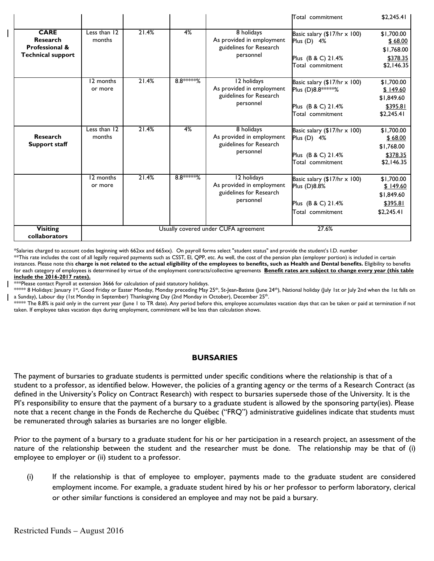|                                                                                         |                                               |       |             |                                                                                  | Total commitment                                                                                  | \$2,245.41                                                     |
|-----------------------------------------------------------------------------------------|-----------------------------------------------|-------|-------------|----------------------------------------------------------------------------------|---------------------------------------------------------------------------------------------------|----------------------------------------------------------------|
| <b>CARE</b><br><b>Research</b><br><b>Professional &amp;</b><br><b>Technical support</b> | Less than 12<br>months                        | 21.4% | 4%          | 8 holidays<br>As provided in employment<br>guidelines for Research<br>personnel  | Basic salary $(\$17/hr \times 100)$<br>Plus $(D)$ 4%<br>Plus (B & C) 21.4%<br>Total commitment    | \$1,700.00<br>\$68.00<br>\$1,768.00<br>\$378.35<br>\$2,146.35  |
|                                                                                         | 12 months<br>or more                          | 21.4% | 8.8 ***** % | 12 holidays<br>As provided in employment<br>guidelines for Research<br>personnel | Basic salary $(17/hr \times 100)$<br>Plus (D)8.8 *****%<br>Plus (B & C) 21.4%<br>Total commitment | \$1,700.00<br>\$149.60<br>\$1,849.60<br>\$395.81<br>\$2,245.41 |
| <b>Research</b><br>Support staff                                                        | Less than 12<br>months                        | 21.4% | 4%          | 8 holidays<br>As provided in employment<br>guidelines for Research<br>personnel  | Basic salary $(17/hr \times 100)$<br>Plus (D) 4%<br>Plus (B & C) 21.4%<br>Total commitment        | \$1,700.00<br>\$68.00<br>\$1,768.00<br>\$378.35<br>\$2,146.35  |
|                                                                                         | 12 months<br>or more                          | 21.4% | 8.8 ***** % | 12 holidays<br>As provided in employment<br>guidelines for Research<br>personnel | Basic salary $(17/hr \times 100)$<br>Plus (D)8.8%<br>Plus (B & C) 21.4%<br>Total commitment       | \$1,700.00<br>\$149.60<br>\$1,849.60<br>\$395.81<br>\$2,245.41 |
| <b>Visiting</b><br><b>collaborators</b>                                                 | 27.6%<br>Usually covered under CUFA agreement |       |             |                                                                                  |                                                                                                   |                                                                |

\*Salaries charged to account codes beginning with 662xx and 665xx). On payroll forms select "student status" and provide the student's I.D. number

\*\*This rate includes the cost of all legally required payments such as CSST, EI, QPP, etc. As well, the cost of the pension plan (employer portion) is included in certain instances. Please note this charge is not related to the actual eligibility of the employees to benefits, such as Health and Dental benefits. Eligibility to benefits for each category of employees is determined by virtue of the employment contracts/collective agreements **Benefit rates are subject to change every year (this table** include the 2016-2017 rates).

\*\*\*Please contact Payroll at extension 3666 for calculation of paid statutory holidays.

\*\*\*\*\* 8 Holidays: January 1st, Good Friday or Easter Monday, Monday preceding May 25<sup>th</sup>, St-Jean-Batiste (June 24<sup>th</sup>), National holiday (July 1st or July 2nd when the 1st falls on a Sunday), Labour day (1st Monday in September) Thanksgiving Day (2nd Monday in October), December 25<sup>th</sup>.

\*\*\*\*\* The 8.8% is paid only in the current year (June 1 to TR date). Any period before this, employee accumulates vacation days that can be taken or paid at termination if not taken. If employee takes vacation days during employment, commitment will be less than calculation shows.

## **BURSARIES**

The payment of bursaries to graduate students is permitted under specific conditions where the relationship is that of a student to a professor, as identified below. However, the policies of a granting agency or the terms of a Research Contract (as defined in the University's Policy on Contract Research) with respect to bursaries supersede those of the University. It is the PI's responsibility to ensure that the payment of a bursary to a graduate student is allowed by the sponsoring party(ies). Please note that a recent change in the Fonds de Recherche du Québec ("FRQ") administrative guidelines indicate that students must be remunerated through salaries as bursaries are no longer eligible.

Prior to the payment of a bursary to a graduate student for his or her participation in a research project, an assessment of the nature of the relationship between the student and the researcher must be done. The relationship may be that of (i) employee to employer or (ii) student to a professor.

(i) If the relationship is that of employee to employer, payments made to the graduate student are considered employment income. For example, a graduate student hired by his or her professor to perform laboratory, clerical or other similar functions is considered an employee and may not be paid a bursary.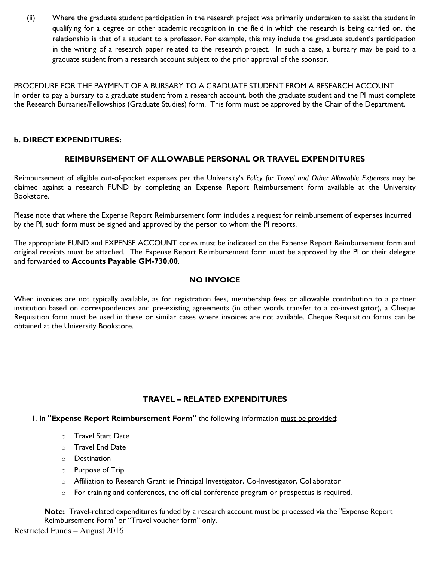(ii) Where the graduate student participation in the research project was primarily undertaken to assist the student in qualifying for a degree or other academic recognition in the field in which the research is being carried on, the relationship is that of a student to a professor. For example, this may include the graduate student's participation in the writing of a research paper related to the research project. In such a case, a bursary may be paid to a graduate student from a research account subject to the prior approval of the sponsor.

PROCEDURE FOR THE PAYMENT OF A BURSARY TO A GRADUATE STUDENT FROM A RESEARCH ACCOUNT In order to pay a bursary to a graduate student from a research account, both the graduate student and the PI must complete the Research Bursaries/Fellowships (Graduate Studies) form. This form must be approved by the Chair of the Department.

## b. DIRECT EXPENDITURES:

## REIMBURSEMENT OF ALLOWABLE PERSONAL OR TRAVEL EXPENDITURES

Reimbursement of eligible out-of-pocket expenses per the University's Policy for Travel and Other Allowable Expenses may be claimed against a research FUND by completing an Expense Report Reimbursement form available at the University Bookstore.

Please note that where the Expense Report Reimbursement form includes a request for reimbursement of expenses incurred by the PI, such form must be signed and approved by the person to whom the PI reports.

The appropriate FUND and EXPENSE ACCOUNT codes must be indicated on the Expense Report Reimbursement form and original receipts must be attached. The Expense Report Reimbursement form must be approved by the PI or their delegate and forwarded to Accounts Payable GM-730.00.

## NO INVOICE

When invoices are not typically available, as for registration fees, membership fees or allowable contribution to a partner institution based on correspondences and pre-existing agreements (in other words transfer to a co-investigator), a Cheque Requisition form must be used in these or similar cases where invoices are not available. Cheque Requisition forms can be obtained at the University Bookstore.

## TRAVEL – RELATED EXPENDITURES

1. In "Expense Report Reimbursement Form" the following information must be provided:

- o Travel Start Date
- o Travel End Date
- o Destination
- o Purpose of Trip
- o Affiliation to Research Grant: ie Principal Investigator, Co-Investigator, Collaborator
- $\circ$  For training and conferences, the official conference program or prospectus is required.

Note: Travel-related expenditures funded by a research account must be processed via the "Expense Report Reimbursement Form" or "Travel voucher form" only.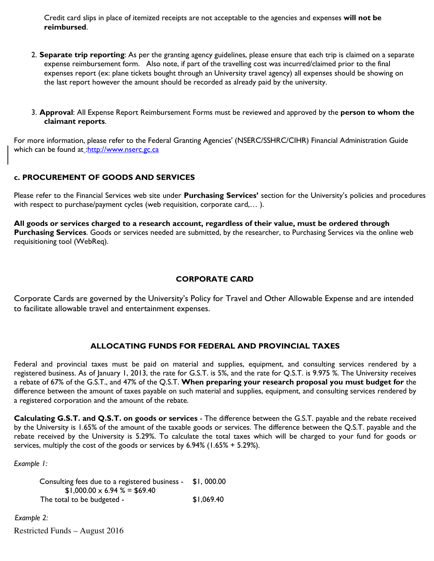Credit card slips in place of itemized receipts are not acceptable to the agencies and expenses will not be reimbursed.

- 2. Separate trip reporting: As per the granting agency guidelines, please ensure that each trip is claimed on a separate expense reimbursement form. Also note, if part of the travelling cost was incurred/claimed prior to the final expenses report (ex: plane tickets bought through an University travel agency) all expenses should be showing on the last report however the amount should be recorded as already paid by the university.
- 3. Approval: All Expense Report Reimbursement Forms must be reviewed and approved by the person to whom the claimant reports.

For more information, please refer to the Federal Granting Agencies' (NSERC/SSHRC/CIHR) Financial Administration Guide which can be found at :http://www.nserc.gc.ca

# c. PROCUREMENT OF GOODS AND SERVICES

Please refer to the Financial Services web site under Purchasing Services' section for the University's policies and procedures with respect to purchase/payment cycles (web requisition, corporate card,… ).

All goods or services charged to a research account, regardless of their value, must be ordered through Purchasing Services. Goods or services needed are submitted, by the researcher, to Purchasing Services via the online web requisitioning tool (WebReq).

## CORPORATE CARD

Corporate Cards are governed by the University's Policy for Travel and Other Allowable Expense and are intended to facilitate allowable travel and entertainment expenses.

## ALLOCATING FUNDS FOR FEDERAL AND PROVINCIAL TAXES

Federal and provincial taxes must be paid on material and supplies, equipment, and consulting services rendered by a registered business. As of January 1, 2013, the rate for G.S.T. is 5%, and the rate for Q.S.T. is 9.975 %. The University receives a rebate of 67% of the G.S.T., and 47% of the Q.S.T. When preparing your research proposal you must budget for the difference between the amount of taxes payable on such material and supplies, equipment, and consulting services rendered by a registered corporation and the amount of the rebate.

Calculating G.S.T. and Q.S.T. on goods or services - The difference between the G.S.T. payable and the rebate received by the University is 1.65% of the amount of the taxable goods or services. The difference between the Q.S.T. payable and the rebate received by the University is 5.29%. To calculate the total taxes which will be charged to your fund for goods or services, multiply the cost of the goods or services by 6.94% (1.65% + 5.29%).

Example 1:

 Consulting fees due to a registered business - \$1, 000.00  $$1,000.00 \times 6.94 \% = $69.40$ The total to be budgeted -  $$1,069.40$ 

Restricted Funds – August 2016 Example 2: